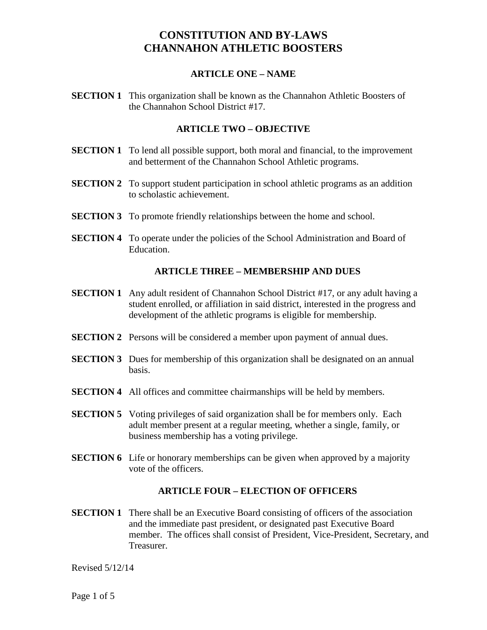#### **ARTICLE ONE – NAME**

**SECTION 1** This organization shall be known as the Channahon Athletic Boosters of the Channahon School District #17.

### **ARTICLE TWO – OBJECTIVE**

- **SECTION 1** To lend all possible support, both moral and financial, to the improvement and betterment of the Channahon School Athletic programs.
- **SECTION 2** To support student participation in school athletic programs as an addition to scholastic achievement.
- **SECTION 3** To promote friendly relationships between the home and school.
- **SECTION 4** To operate under the policies of the School Administration and Board of Education.

### **ARTICLE THREE – MEMBERSHIP AND DUES**

- **SECTION 1** Any adult resident of Channahon School District #17, or any adult having a student enrolled, or affiliation in said district, interested in the progress and development of the athletic programs is eligible for membership.
- **SECTION 2** Persons will be considered a member upon payment of annual dues.
- **SECTION 3** Dues for membership of this organization shall be designated on an annual basis.
- **SECTION 4** All offices and committee chairmanships will be held by members.
- **SECTION 5** Voting privileges of said organization shall be for members only. Each adult member present at a regular meeting, whether a single, family, or business membership has a voting privilege.
- **SECTION 6** Life or honorary memberships can be given when approved by a majority vote of the officers.

#### **ARTICLE FOUR – ELECTION OF OFFICERS**

**SECTION 1** There shall be an Executive Board consisting of officers of the association and the immediate past president, or designated past Executive Board member. The offices shall consist of President, Vice-President, Secretary, and Treasurer.

Revised 5/12/14

Page 1 of 5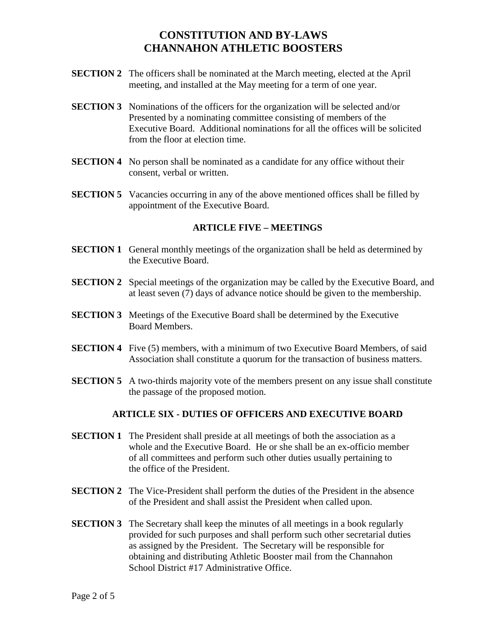- **SECTION 2** The officers shall be nominated at the March meeting, elected at the April meeting, and installed at the May meeting for a term of one year.
- **SECTION 3** Nominations of the officers for the organization will be selected and/or Presented by a nominating committee consisting of members of the Executive Board. Additional nominations for all the offices will be solicited from the floor at election time.
- **SECTION 4** No person shall be nominated as a candidate for any office without their consent, verbal or written.
- **SECTION 5** Vacancies occurring in any of the above mentioned offices shall be filled by appointment of the Executive Board.

### **ARTICLE FIVE – MEETINGS**

- **SECTION 1** General monthly meetings of the organization shall be held as determined by the Executive Board.
- **SECTION 2** Special meetings of the organization may be called by the Executive Board, and at least seven (7) days of advance notice should be given to the membership.
- **SECTION 3** Meetings of the Executive Board shall be determined by the Executive Board Members.
- **SECTION 4** Five (5) members, with a minimum of two Executive Board Members, of said Association shall constitute a quorum for the transaction of business matters.
- **SECTION 5** A two-thirds majority vote of the members present on any issue shall constitute the passage of the proposed motion.

### **ARTICLE SIX - DUTIES OF OFFICERS AND EXECUTIVE BOARD**

- **SECTION 1** The President shall preside at all meetings of both the association as a whole and the Executive Board. He or she shall be an ex-officio member of all committees and perform such other duties usually pertaining to the office of the President.
- **SECTION 2** The Vice-President shall perform the duties of the President in the absence of the President and shall assist the President when called upon.
- **SECTION 3** The Secretary shall keep the minutes of all meetings in a book regularly provided for such purposes and shall perform such other secretarial duties as assigned by the President. The Secretary will be responsible for obtaining and distributing Athletic Booster mail from the Channahon School District #17 Administrative Office.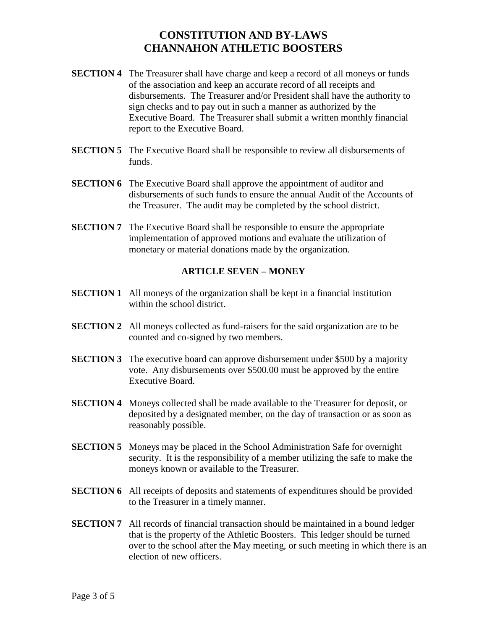- **SECTION 4** The Treasurer shall have charge and keep a record of all moneys or funds of the association and keep an accurate record of all receipts and disbursements. The Treasurer and/or President shall have the authority to sign checks and to pay out in such a manner as authorized by the Executive Board. The Treasurer shall submit a written monthly financial report to the Executive Board.
- **SECTION 5** The Executive Board shall be responsible to review all disbursements of funds.
- **SECTION 6** The Executive Board shall approve the appointment of auditor and disbursements of such funds to ensure the annual Audit of the Accounts of the Treasurer. The audit may be completed by the school district.
- **SECTION 7** The Executive Board shall be responsible to ensure the appropriate implementation of approved motions and evaluate the utilization of monetary or material donations made by the organization.

### **ARTICLE SEVEN – MONEY**

- **SECTION 1** All moneys of the organization shall be kept in a financial institution within the school district.
- **SECTION 2** All moneys collected as fund-raisers for the said organization are to be counted and co-signed by two members.
- **SECTION 3** The executive board can approve disbursement under \$500 by a majority vote. Any disbursements over \$500.00 must be approved by the entire Executive Board.
- **SECTION 4** Moneys collected shall be made available to the Treasurer for deposit, or deposited by a designated member, on the day of transaction or as soon as reasonably possible.
- **SECTION 5** Moneys may be placed in the School Administration Safe for overnight security. It is the responsibility of a member utilizing the safe to make the moneys known or available to the Treasurer.
- **SECTION 6** All receipts of deposits and statements of expenditures should be provided to the Treasurer in a timely manner.
- **SECTION 7** All records of financial transaction should be maintained in a bound ledger that is the property of the Athletic Boosters. This ledger should be turned over to the school after the May meeting, or such meeting in which there is an election of new officers.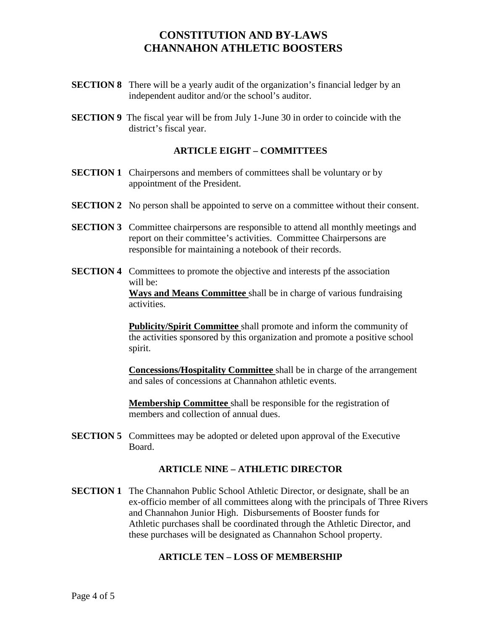- **SECTION 8** There will be a yearly audit of the organization's financial ledger by an independent auditor and/or the school's auditor.
- **SECTION 9** The fiscal year will be from July 1-June 30 in order to coincide with the district's fiscal year.

### **ARTICLE EIGHT – COMMITTEES**

- **SECTION 1** Chairpersons and members of committees shall be voluntary or by appointment of the President.
- **SECTION 2** No person shall be appointed to serve on a committee without their consent.
- **SECTION 3** Committee chairpersons are responsible to attend all monthly meetings and report on their committee's activities. Committee Chairpersons are responsible for maintaining a notebook of their records.
- **SECTION 4** Committees to promote the objective and interests pf the association will be: **Ways and Means Committee** shall be in charge of various fundraising activities.

**Publicity/Spirit Committee** shall promote and inform the community of the activities sponsored by this organization and promote a positive school spirit.

**Concessions/Hospitality Committee** shall be in charge of the arrangement and sales of concessions at Channahon athletic events.

**Membership Committee** shall be responsible for the registration of members and collection of annual dues.

**SECTION 5** Committees may be adopted or deleted upon approval of the Executive Board.

#### **ARTICLE NINE – ATHLETIC DIRECTOR**

**SECTION 1** The Channahon Public School Athletic Director, or designate, shall be an ex-officio member of all committees along with the principals of Three Rivers and Channahon Junior High. Disbursements of Booster funds for Athletic purchases shall be coordinated through the Athletic Director, and these purchases will be designated as Channahon School property.

#### **ARTICLE TEN – LOSS OF MEMBERSHIP**